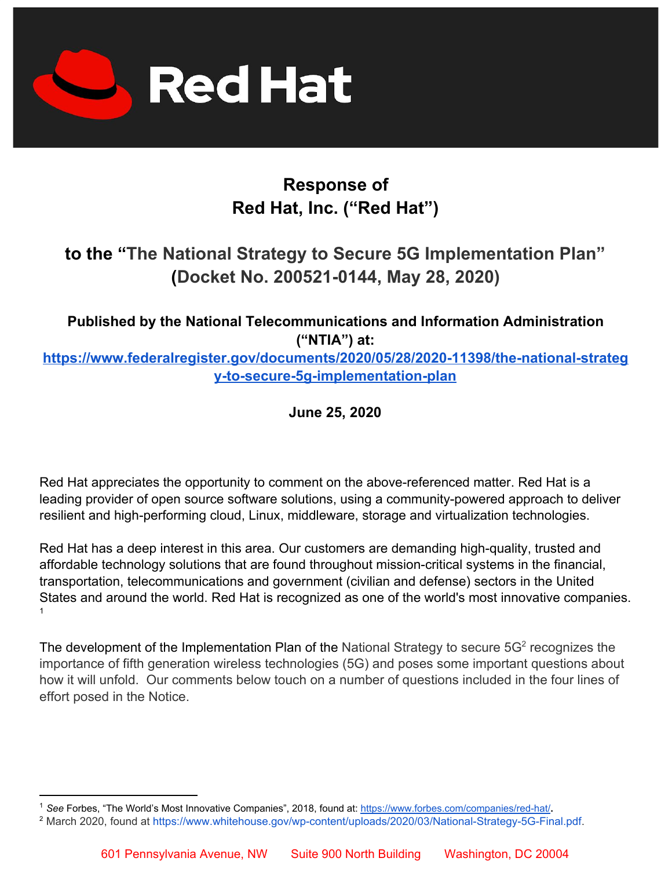

# **Response of Red Hat, Inc. ("Red Hat")**

## **to the "The National Strategy to Secure 5G Implementation Plan" (Docket No. 200521-0144, May 28, 2020)**

**Published by the National Telecommunications and Information Administration ("NTIA") at[:](https://www.federalregister.gov/documents/2018/05/09/2018-09821/changes-to-the-claim-construction-standard-for-interpreting-claims-in-trial-proceedings-before-the)**

**[https://www.federalregister.gov/documents/2020/05/28/2020-11398/the-national-strateg](https://www.federalregister.gov/documents/2020/05/28/2020-11398/the-national-strategy-to-secure-5g-implementation-plan) [y-to-secure-5g-implementation-plan](https://www.federalregister.gov/documents/2020/05/28/2020-11398/the-national-strategy-to-secure-5g-implementation-plan)**

**June 25, 2020**

Red Hat appreciates the opportunity to comment on the above-referenced matter. Red Hat is a leading provider of open source software solutions, using a community-powered approach to deliver resilient and high-performing cloud, Linux, middleware, storage and virtualization technologies.

Red Hat has a deep interest in this area. Our customers are demanding high-quality, trusted and affordable technology solutions that are found throughout mission-critical systems in the financial, transportation, telecommunications and government (civilian and defense) sectors in the United States and around the world. Red Hat is recognized as one of the world's most innovative companies. 1

The development of the Implementation Plan of the National Strategy to secure  $5G<sup>2</sup>$  recognizes the importance of fifth generation wireless technologies (5G) and poses some important questions about how it will unfold. Our comments below touch on a number of questions included in the four lines of effort posed in the Notice.

<sup>1</sup> *See* Forbes, "The World's Most Innovative Companies", 2018, found at[:](https://www.forbes.com/companies/red-hat/) <https://www.forbes.com/companies/red-hat/>**.**

<sup>&</sup>lt;sup>2</sup> March 2020, found at [https://www.whitehouse.gov/wp-content/uploads/2020/03/National-Strategy-5G-Final.pdf.](https://www.whitehouse.gov/wp-content/uploads/2020/03/National-Strategy-5G-Final.pdf)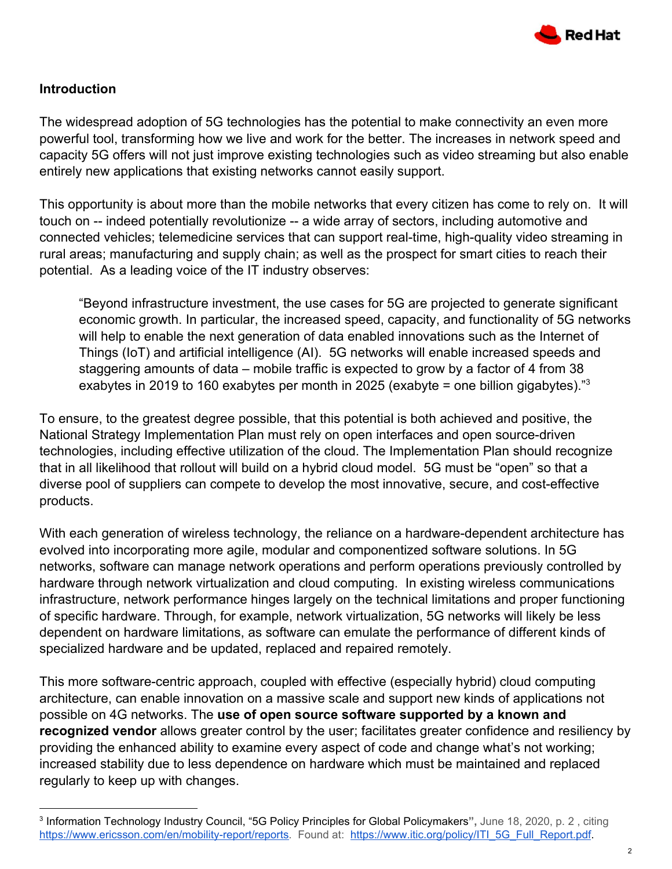

### **Introduction**

The widespread adoption of 5G technologies has the potential to make connectivity an even more powerful tool, transforming how we live and work for the better. The increases in network speed and capacity 5G offers will not just improve existing technologies such as video streaming but also enable entirely new applications that existing networks cannot easily support.

This opportunity is about more than the mobile networks that every citizen has come to rely on. It will touch on -- indeed potentially revolutionize -- a wide array of sectors, including automotive and connected vehicles; telemedicine services that can support real-time, high-quality video streaming in rural areas; manufacturing and supply chain; as well as the prospect for smart cities to reach their potential. As a leading voice of the IT industry observes:

"Beyond infrastructure investment, the use cases for 5G are projected to generate significant economic growth. In particular, the increased speed, capacity, and functionality of 5G networks will help to enable the next generation of data enabled innovations such as the Internet of Things (IoT) and artificial intelligence (AI). 5G networks will enable increased speeds and staggering amounts of data – mobile traffic is expected to grow by a factor of 4 from 38 exabytes in 2019 to 160 exabytes per month in 2025 (exabyte = one billion gigabytes)." $3$ 

To ensure, to the greatest degree possible, that this potential is both achieved and positive, the National Strategy Implementation Plan must rely on open interfaces and open source-driven technologies, including effective utilization of the cloud. The Implementation Plan should recognize that in all likelihood that rollout will build on a hybrid cloud model. 5G must be "open" so that a diverse pool of suppliers can compete to develop the most innovative, secure, and cost-effective products.

With each generation of wireless technology, the reliance on a hardware-dependent architecture has evolved into incorporating more agile, modular and componentized software solutions. In 5G networks, software can manage network operations and perform operations previously controlled by hardware through network virtualization and cloud computing. In existing wireless communications infrastructure, network performance hinges largely on the technical limitations and proper functioning of specific hardware. Through, for example, network virtualization, 5G networks will likely be less dependent on hardware limitations, as software can emulate the performance of different kinds of specialized hardware and be updated, replaced and repaired remotely.

This more software-centric approach, coupled with effective (especially hybrid) cloud computing architecture, can enable innovation on a massive scale and support new kinds of applications not possible on 4G networks. The **use of open source software supported by a known and recognized vendor** allows greater control by the user; facilitates greater confidence and resiliency by providing the enhanced ability to examine every aspect of code and change what's not working; increased stability due to less dependence on hardware which must be maintained and replaced regularly to keep up with changes.

<sup>3</sup> Information Technology Industry Council, "5G Policy Principles for Global Policymakers**",** June 18, 2020, p. 2 , citing <https://www.ericsson.com/en/mobility-report/reports>. Found at: [https://www.itic.org/policy/ITI\\_5G\\_Full\\_Report.pdf](https://www.itic.org/policy/ITI_5G_Full_Report.pdf).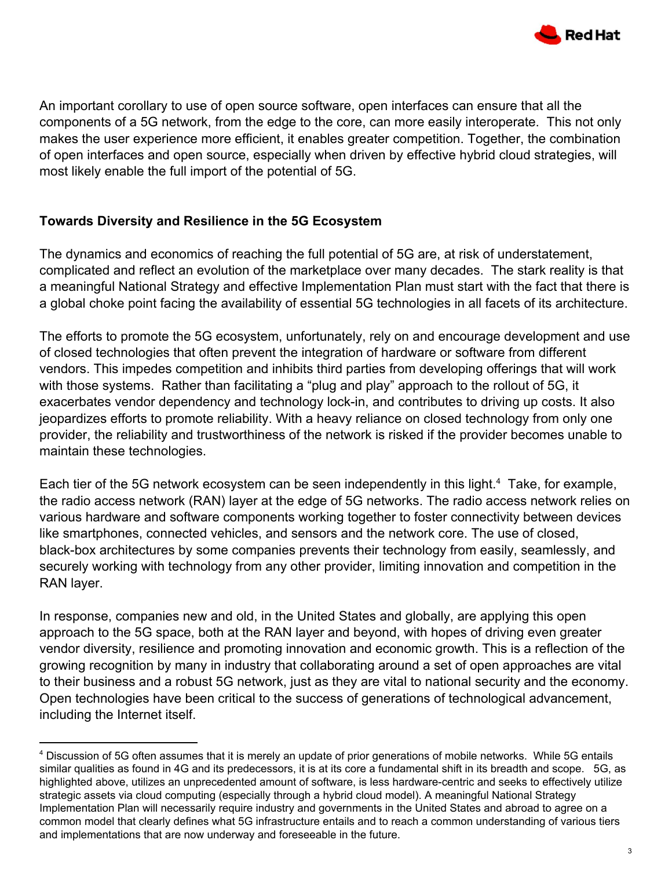

An important corollary to use of open source software, open interfaces can ensure that all the components of a 5G network, from the edge to the core, can more easily interoperate. This not only makes the user experience more efficient, it enables greater competition. Together, the combination of open interfaces and open source, especially when driven by effective hybrid cloud strategies, will most likely enable the full import of the potential of 5G.

### **Towards Diversity and Resilience in the 5G Ecosystem**

The dynamics and economics of reaching the full potential of 5G are, at risk of understatement, complicated and reflect an evolution of the marketplace over many decades. The stark reality is that a meaningful National Strategy and effective Implementation Plan must start with the fact that there is a global choke point facing the availability of essential 5G technologies in all facets of its architecture.

The efforts to promote the 5G ecosystem, unfortunately, rely on and encourage development and use of closed technologies that often prevent the integration of hardware or software from different vendors. This impedes competition and inhibits third parties from developing offerings that will work with those systems. Rather than facilitating a "plug and play" approach to the rollout of 5G, it exacerbates vendor dependency and technology lock-in, and contributes to driving up costs. It also jeopardizes efforts to promote reliability. With a heavy reliance on closed technology from only one provider, the reliability and trustworthiness of the network is risked if the provider becomes unable to maintain these technologies.

Each tier of the 5G network ecosystem can be seen independently in this light.<sup>4</sup> Take, for example, the radio access network (RAN) layer at the edge of 5G networks. The radio access network relies on various hardware and software components working together to foster connectivity between devices like smartphones, connected vehicles, and sensors and the network core. The use of closed, black-box architectures by some companies prevents their technology from easily, seamlessly, and securely working with technology from any other provider, limiting innovation and competition in the RAN layer.

In response, companies new and old, in the United States and globally, are applying this open approach to the 5G space, both at the RAN layer and beyond, with hopes of driving even greater vendor diversity, resilience and promoting innovation and economic growth. This is a reflection of the growing recognition by many in industry that collaborating around a set of open approaches are vital to their business and a robust 5G network, just as they are vital to national security and the economy. Open technologies have been critical to the success of generations of technological advancement, including the Internet itself.

<sup>4</sup> Discussion of 5G often assumes that it is merely an update of prior generations of mobile networks. While 5G entails similar qualities as found in 4G and its predecessors, it is at its core a fundamental shift in its breadth and scope. 5G, as highlighted above, utilizes an unprecedented amount of software, is less hardware-centric and seeks to effectively utilize strategic assets via cloud computing (especially through a hybrid cloud model). A meaningful National Strategy Implementation Plan will necessarily require industry and governments in the United States and abroad to agree on a common model that clearly defines what 5G infrastructure entails and to reach a common understanding of various tiers and implementations that are now underway and foreseeable in the future.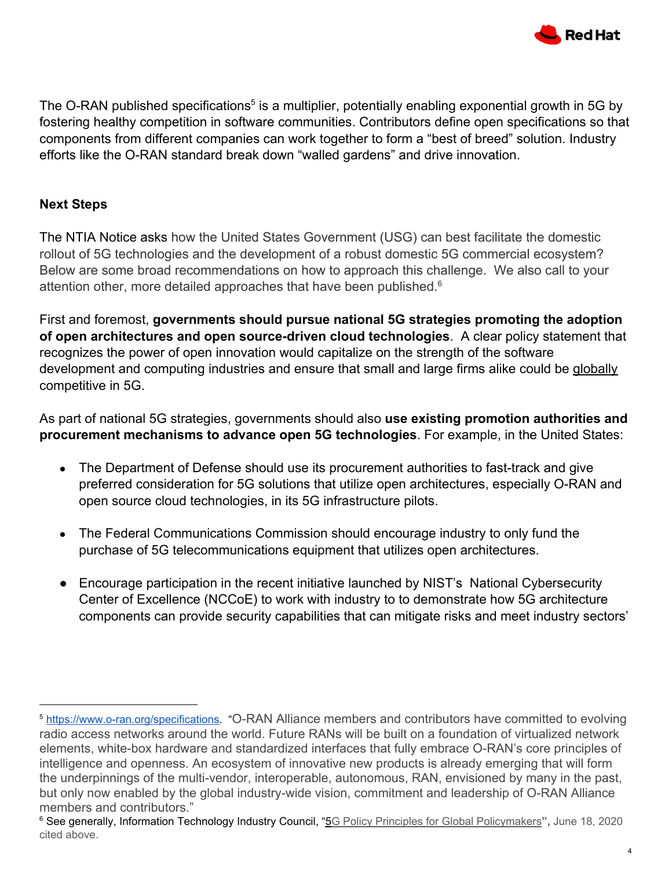

The O-RAN published specifications<sup>5</sup> is a multiplier, potentially enabling exponential growth in 5G by fostering healthy competition in software communities. Contributors define open specifications so that components from different companies can work together to form a "best of breed" solution. Industry efforts like the O-RAN standard break down "walled gardens" and drive innovation.

### **Next Steps**

The NTIA Notice asks how the United States Government (USG) can best facilitate the domestic rollout of 5G technologies and the development of a robust domestic 5G commercial ecosystem? Below are some broad recommendations on how to approach this challenge. We also call to your attention other, more detailed approaches that have been published.<sup>6</sup>

First and foremost, **governments should pursue national 5G strategies promoting the adoption of open architectures and open source-driven cloud technologies**. A clear policy statement that recognizes the power of open innovation would capitalize on the strength of the software development and computing industries and ensure that small and large firms alike could be globally competitive in 5G.

As part of national 5G strategies, governments should also **use existing promotion authorities and procurement mechanisms to advance open 5G technologies**. For example, in the United States:

- The Department of Defense should use its procurement authorities to fast-track and give preferred consideration for 5G solutions that utilize open architectures, especially O-RAN and open source cloud technologies, in its 5G infrastructure pilots.
- The Federal Communications Commission should encourage industry to only fund the purchase of 5G telecommunications equipment that utilizes open architectures.
- Encourage participation in the recent initiative launched by NIST's National Cybersecurity Center of Excellence (NCCoE) to work with industry to to demonstrate how 5G architecture components can provide security capabilities that can mitigate risks and meet industry sectors'

<sup>5</sup> [https://www.o-ran.org/specifications.](https://www.o-ran.org/specifications) "O-RAN Alliance members and contributors have committed to evolving radio access networks around the world. Future RANs will be built on a foundation of virtualized network elements, white-box hardware and standardized interfaces that fully embrace O-RAN's core principles of intelligence and openness. An ecosystem of innovative new products is already emerging that will form the underpinnings of the multi-vendor, interoperable, autonomous, RAN, envisioned by many in the past, but only now enabled by the global industry-wide vision, commitment and leadership of O-RAN Alliance members and contributors."

<sup>6</sup> See generally, Information Technology Industry Council, "5G Policy Principles for Global [Policymakers](https://www.itic.org/policy/ITI_5G_Full_Report.pdf)**",** June 18, 2020 cited above.